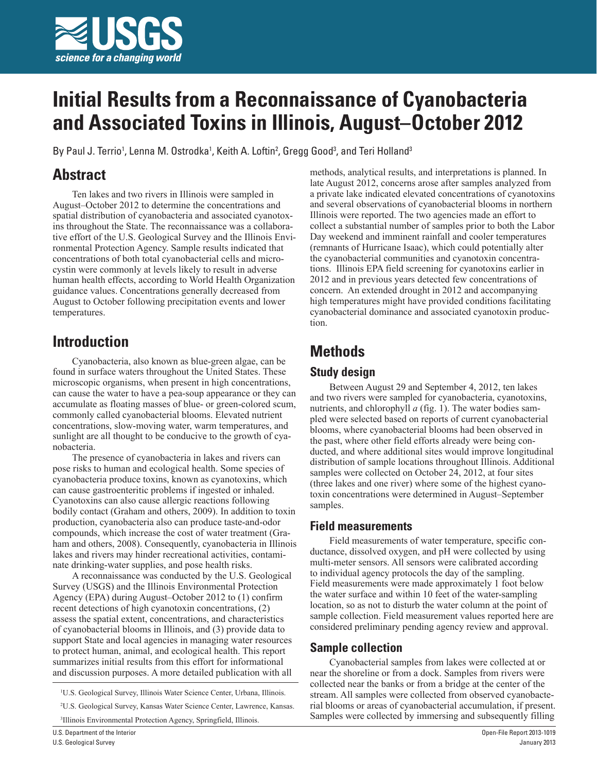

# **Initial Results from a Reconnaissance of Cyanobacteria and Associated Toxins in Illinois, August–October 2012**

By Paul J. Terrio<sup>1</sup>, Lenna M. Ostrodka<sup>1</sup>, Keith A. Loftin<sup>2</sup>, Gregg Good<sup>3</sup>, and Teri Holland<sup>3</sup>

## **Abstract**

Ten lakes and two rivers in Illinois were sampled in August–October 2012 to determine the concentrations and spatial distribution of cyanobacteria and associated cyanotoxins throughout the State. The reconnaissance was a collaborative effort of the U.S. Geological Survey and the Illinois Environmental Protection Agency. Sample results indicated that concentrations of both total cyanobacterial cells and microcystin were commonly at levels likely to result in adverse human health effects, according to World Health Organization guidance values. Concentrations generally decreased from August to October following precipitation events and lower temperatures.

### **Introduction**

Cyanobacteria, also known as blue-green algae, can be found in surface waters throughout the United States. These microscopic organisms, when present in high concentrations, can cause the water to have a pea-soup appearance or they can accumulate as floating masses of blue- or green-colored scum, commonly called cyanobacterial blooms. Elevated nutrient concentrations, slow-moving water, warm temperatures, and sunlight are all thought to be conducive to the growth of cyanobacteria.

The presence of cyanobacteria in lakes and rivers can pose risks to human and ecological health. Some species of cyanobacteria produce toxins, known as cyanotoxins, which can cause gastroenteritic problems if ingested or inhaled. Cyanotoxins can also cause allergic reactions following bodily contact (Graham and others, 2009). In addition to toxin production, cyanobacteria also can produce taste-and-odor compounds, which increase the cost of water treatment (Graham and others, 2008). Consequently, cyanobacteria in Illinois lakes and rivers may hinder recreational activities, contaminate drinking-water supplies, and pose health risks.

A reconnaissance was conducted by the U.S. Geological Survey (USGS) and the Illinois Environmental Protection Agency (EPA) during August–October 2012 to (1) confirm recent detections of high cyanotoxin concentrations, (2) assess the spatial extent, concentrations, and characteristics of cyanobacterial blooms in Illinois, and (3) provide data to support State and local agencies in managing water resources to protect human, animal, and ecological health. This report summarizes initial results from this effort for informational and discussion purposes. A more detailed publication with all

3 Illinois Environmental Protection Agency, Springfield, Illinois.

U.S. Department of the Interior

U.S. Geological Survey

methods, analytical results, and interpretations is planned. In late August 2012, concerns arose after samples analyzed from a private lake indicated elevated concentrations of cyanotoxins and several observations of cyanobacterial blooms in northern Illinois were reported. The two agencies made an effort to collect a substantial number of samples prior to both the Labor Day weekend and imminent rainfall and cooler temperatures (remnants of Hurricane Isaac), which could potentially alter the cyanobacterial communities and cyanotoxin concentrations. Illinois EPA field screening for cyanotoxins earlier in 2012 and in previous years detected few concentrations of concern. An extended drought in 2012 and accompanying high temperatures might have provided conditions facilitating cyanobacterial dominance and associated cyanotoxin production.

### **Methods**

#### **Study design**

Between August 29 and September 4, 2012, ten lakes and two rivers were sampled for cyanobacteria, cyanotoxins, nutrients, and chlorophyll *a* (fig. 1). The water bodies sampled were selected based on reports of current cyanobacterial blooms, where cyanobacterial blooms had been observed in the past, where other field efforts already were being conducted, and where additional sites would improve longitudinal distribution of sample locations throughout Illinois. Additional samples were collected on October 24, 2012, at four sites (three lakes and one river) where some of the highest cyanotoxin concentrations were determined in August–September samples.

#### **Field measurements**

Field measurements of water temperature, specific conductance, dissolved oxygen, and pH were collected by using multi-meter sensors. All sensors were calibrated according to individual agency protocols the day of the sampling. Field measurements were made approximately 1 foot below the water surface and within 10 feet of the water-sampling location, so as not to disturb the water column at the point of sample collection. Field measurement values reported here are considered preliminary pending agency review and approval.

#### **Sample collection**

Cyanobacterial samples from lakes were collected at or near the shoreline or from a dock. Samples from rivers were collected near the banks or from a bridge at the center of the stream. All samples were collected from observed cyanobacterial blooms or areas of cyanobacterial accumulation, if present. Samples were collected by immersing and subsequently filling

<sup>&</sup>lt;sup>1</sup>U.S. Geological Survey, Illinois Water Science Center, Urbana, Illinois.

<sup>2</sup> U.S. Geological Survey, Kansas Water Science Center, Lawrence, Kansas.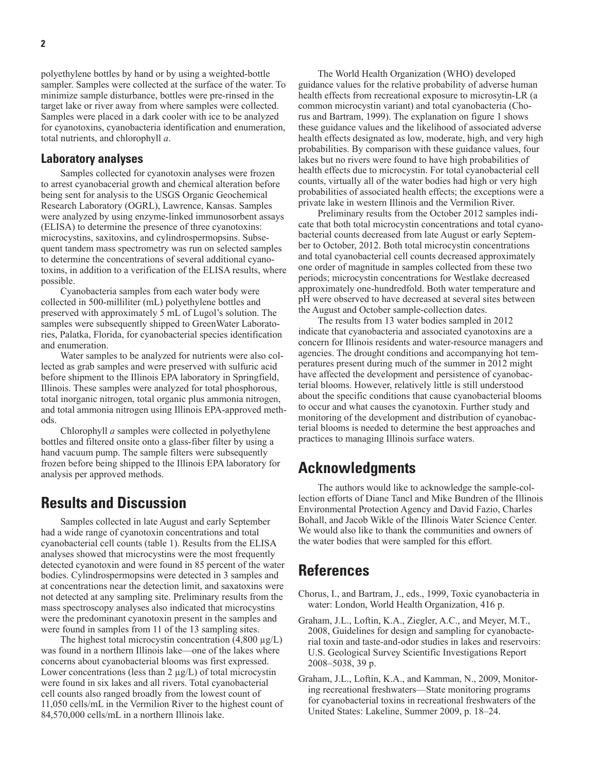polyethylene bottles by hand or by using a weighted-bottle sampler. Samples were collected at the surface of the water. To minimize sample disturbance, bottles were pre-rinsed in the target lake or river away from where samples were collected. Samples were placed in a dark cooler with ice to be analyzed for cyanotoxins, cyanobacteria identification and enumeration, total nutrients, and chlorophyll *a*.

#### **Laboratory analyses**

Samples collected for cyanotoxin analyses were frozen to arrest cyanobacerial growth and chemical alteration before being sent for analysis to the USGS Organic Geochemical Research Laboratory (OGRL), Lawrence, Kansas. Samples were analyzed by using enzyme-linked immunosorbent assays (ELISA) to determine the presence of three cyanotoxins: microcystins, saxitoxins, and cylindrospermopsins. Subsequent tandem mass spectrometry was run on selected samples to determine the concentrations of several additional cyanotoxins, in addition to a verification of the ELISA results, where possible.

Cyanobacteria samples from each water body were collected in 500-milliliter (mL) polyethylene bottles and preserved with approximately 5 mL of Lugol's solution. The samples were subsequently shipped to GreenWater Laboratories, Palatka, Florida, for cyanobacterial species identification and enumeration.

Water samples to be analyzed for nutrients were also collected as grab samples and were preserved with sulfuric acid before shipment to the Illinois EPA laboratory in Springfield, Illinois. These samples were analyzed for total phosphorous, total inorganic nitrogen, total organic plus ammonia nitrogen, and total ammonia nitrogen using Illinois EPA-approved methods.

Chlorophyll *a* samples were collected in polyethylene bottles and filtered onsite onto a glass-fiber filter by using a hand vacuum pump. The sample filters were subsequently frozen before being shipped to the Illinois EPA laboratory for analysis per approved methods.

### **Results and Discussion**

Samples collected in late August and early September had a wide range of cyanotoxin concentrations and total cyanobacterial cell counts (table 1). Results from the ELISA analyses showed that microcystins were the most frequently detected cyanotoxin and were found in 85 percent of the water bodies. Cylindrospermopsins were detected in 3 samples and at concentrations near the detection limit, and saxatoxins were not detected at any sampling site. Preliminary results from the mass spectroscopy analyses also indicated that microcystins were the predominant cyanotoxin present in the samples and were found in samples from 11 of the 13 sampling sites.

The highest total microcystin concentration  $(4,800 \mu g/L)$ was found in a northern Illinois lake—one of the lakes where concerns about cyanobacterial blooms was first expressed. Lower concentrations (less than  $2 \mu g/L$ ) of total microcystin were found in six lakes and all rivers. Total cyanobacterial cell counts also ranged broadly from the lowest count of 11,050 cells/mL in the Vermilion River to the highest count of 84,570,000 cells/mL in a northern Illinois lake.

The World Health Organization (WHO) developed guidance values for the relative probability of adverse human health effects from recreational exposure to microsytin-LR (a common microcystin variant) and total cyanobacteria (Chorus and Bartram, 1999). The explanation on figure 1 shows these guidance values and the likelihood of associated adverse health effects designated as low, moderate, high, and very high probabilities. By comparison with these guidance values, four lakes but no rivers were found to have high probabilities of health effects due to microcystin. For total cyanobacterial cell counts, virtually all of the water bodies had high or very high probabilities of associated health effects; the exceptions were a private lake in western Illinois and the Vermilion River.

Preliminary results from the October 2012 samples indicate that both total microcystin concentrations and total cyanobacterial counts decreased from late August or early September to October, 2012. Both total microcystin concentrations and total cyanobacterial cell counts decreased approximately one order of magnitude in samples collected from these two periods; microcystin concentrations for Westlake decreased approximately one-hundredfold. Both water temperature and pH were observed to have decreased at several sites between the August and October sample-collection dates.

The results from 13 water bodies sampled in 2012 indicate that cyanobacteria and associated cyanotoxins are a concern for Illinois residents and water-resource managers and agencies. The drought conditions and accompanying hot temperatures present during much of the summer in 2012 might have affected the development and persistence of cyanobacterial blooms. However, relatively little is still understood about the specific conditions that cause cyanobacterial blooms to occur and what causes the cyanotoxin. Further study and monitoring of the development and distribution of cyanobacterial blooms is needed to determine the best approaches and practices to managing Illinois surface waters.

### **Acknowledgments**

The authors would like to acknowledge the sample-collection efforts of Diane Tancl and Mike Bundren of the Illinois Environmental Protection Agency and David Fazio, Charles Bohall, and Jacob Wikle of the Illinois Water Science Center. We would also like to thank the communities and owners of the water bodies that were sampled for this effort.

#### **References**

- Chorus, I., and Bartram, J., eds., 1999, Toxic cyanobacteria in water: London, World Health Organization, 416 p.
- Graham, J.L., Loftin, K.A., Ziegler, A.C., and Meyer, M.T., 2008, Guidelines for design and sampling for cyanobacterial toxin and taste-and-odor studies in lakes and reservoirs: U.S. Geological Survey Scientific Investigations Report 2008–5038, 39 p.
- Graham, J.L., Loftin, K.A., and Kamman, N., 2009, Monitoring recreational freshwaters—State monitoring programs for cyanobacterial toxins in recreational freshwaters of the United States: Lakeline, Summer 2009, p. 18–24.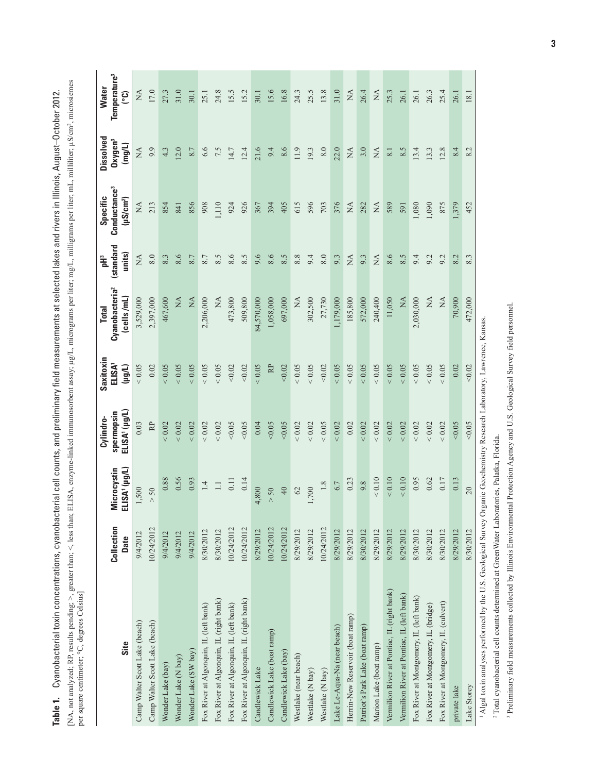[NA, not analyzed; RP, results pending; >, greater than; <, less than; ELISA, enzyme-linked immunosorbent assay; µg/L, micrograms per liter; mg/L, milligrams per liter; mL, milliliter; µS/cm<sup>2</sup>, microsiemes<br>per square cent [NA, not analyzed; RP, results pending; >, greater than; <, less than; ELISA, enzyme-linked immunosorbent assay; µg/L, micrograms per liter; mg/L, milligrams per liter; mL, milliliter; µS/cm2, microsiemes Table 1. Cyanobacterial toxin concentrations, cyanobacterial cell counts, and preliminary field measurements at selected lakes and rivers in Illinois, August-October 2012. **Table 1.** Cyanobacterial toxin concentrations, cyanobacterial cell counts, and preliminary field measurements at selected lakes and rivers in Illinois, August–October 2012. per square centimeter; °C, degrees Celsius]

| Site                                                                                                                                  | Collection<br>Date | ELISA' (µg/L)<br>Microcystin | ELISA' (µg/L)<br>spermopsin<br>Cylindro- | Saxitoxin<br>ELISA'<br>$($ ll $9$ | Cyanobacteria <sup>2</sup><br>(cells/mL)<br><b>Total</b> | (standard<br>units)<br>pH3 | Conductance <sup>3</sup><br>Specific<br>$(\mu S/cm^2)$ | Dissolved<br>Oxygen <sup>3</sup><br>(mg/L) | Temperature <sup>3</sup><br><b>Water</b><br><u>(၁</u> |
|---------------------------------------------------------------------------------------------------------------------------------------|--------------------|------------------------------|------------------------------------------|-----------------------------------|----------------------------------------------------------|----------------------------|--------------------------------------------------------|--------------------------------------------|-------------------------------------------------------|
| Camp Walter Scott Lake (beach)                                                                                                        | 9/4/2012           | 1,500                        | 0.03                                     | ${}< 0.05$                        | 3,529,000                                                | $\mathbb{A}$               | ÁN                                                     | $\mathbb{A}$                               | $\sum_{i=1}^{n}$                                      |
| Camp Walter Scott Lake (beach)                                                                                                        | 10/24/2012         | $> 50$                       | R <sup>p</sup>                           | 0.02                              | 2,397,000                                                | 8.0                        | 213                                                    | 9.9                                        | 17.0                                                  |
| Wonder Lake (bay)                                                                                                                     | 9/4/2012           | 0.88                         | ${}< 0.02$                               | 0.05                              | 467,600                                                  | 8.3                        | 854                                                    | 4.3                                        | 27.3                                                  |
| Wonder Lake (N bay)                                                                                                                   | 9/4/2012           | 0.56                         | ${}< 0.02$                               | 0.05                              | $\frac{\mathbf{A}}{\mathbf{A}}$                          | 8.6                        | 841                                                    | 12.0                                       | 31.0                                                  |
| Wonder Lake (SW bay)                                                                                                                  | 9/4/2012           | 0.93                         | ${}< 0.02$                               | 0.05                              | $\lesssim$                                               | 8.7                        | 856                                                    | 8.7                                        | 30.1                                                  |
| Fox River at Algonquin, IL (left bank)                                                                                                | 8/30/2012          | $\overline{14}$              | ${}< 0.02$                               | 0.05                              | 2,206,000                                                | $8.7\,$                    | 908                                                    | 6.6                                        | 25.1                                                  |
| Fox River at Algonquin, IL (right bank)                                                                                               | 8/30/2012          | $\Box$                       | ${}< 0.02$                               | 0.05                              | Ž                                                        | 8.5                        | 110                                                    | 7.5                                        | 24.8                                                  |
| Fox River at Algonquin, IL (left bank)                                                                                                | 10/24/2012         | 0.11                         | 0.05                                     | 0.02                              | 473,800                                                  | 8.6                        | 924                                                    | 14.7                                       | 15.5                                                  |
| Fox River at Algonquin, IL (right bank)                                                                                               | 10/24/2012         | 0.14                         | 0.05                                     | < 0.02                            | 509,800                                                  | 8.5                        | 926                                                    | 12.4                                       | 15.2                                                  |
| Candlewick Lake                                                                                                                       | 8/29/2012          | 4,800                        | 0.04                                     | 0.05                              | 84,570,000                                               | 9.6                        | 367                                                    | 21.6                                       | 30.1                                                  |
| Candlewick Lake (boat ramp)                                                                                                           | 10/24/2012         | $> 50$                       | 0.05                                     | RP                                | 1,058,000                                                | 8.6                        | 394                                                    | 9.4                                        | 15.6                                                  |
| Candlewick Lake (bay)                                                                                                                 | 10/24/2012         | 40                           | 0.05                                     | 0.02                              | 697,000                                                  | 8.5                        | 405                                                    | 8.6                                        | 16.8                                                  |
| Westlake (near beach)                                                                                                                 | 8/29/2012          | $\mathcal{O}$                | ${}< 0.02$                               | 0.05                              | $\mathbb{X}$                                             | 8.8                        | 615                                                    | 11.9                                       | 24.3                                                  |
| Westlake (N bay)                                                                                                                      | 8/29/2012          | 1,700                        | $< 0.02$                                 | 0.05                              | 302,500                                                  | 9.4                        | 596                                                    | 19.3                                       | 25.5                                                  |
| Westlake (N bay)                                                                                                                      | 10/24/2012         | $1.8\,$                      | ${}< 0.05$                               | < 0.02                            | 27,730                                                   | $8.0\,$                    | 703                                                    | $8.0\,$                                    | 13.8                                                  |
| Lake Le-Aqua-Na (near beach)                                                                                                          | 8/29/2012          | 6.7                          | ${}< 0.02$                               | 0.05                              | 1,179,000                                                | 9.3                        | 376                                                    | 22.0                                       | 31.0                                                  |
| Herrin-New Reservoir (boat ramp)                                                                                                      | 8/29/2012          | 0.23                         | 0.02                                     | 0.05                              | 185,800                                                  | $\mathbb{A}$               | NA                                                     | $\mathbb{X}$                               | $\mathbb{A}$                                          |
| Patriot's Park Lake (boat ramp)                                                                                                       | 8/30/2012          | 9.8                          | ${}< 0.02$                               | 0.05                              | 572,000                                                  | 9.3                        | 282                                                    | 3.0                                        | 26.4                                                  |
| Marion Lake (boat ramp)                                                                                                               | 8/29/2012          | $< 0.10$                     | ${}< 0.02$                               | 0.05                              | 240,400                                                  | $\mathbb{X}^{\mathsf{A}}$  | NA                                                     | $\mathbb{A}$                               | $\stackrel{\Delta}{\simeq}$                           |
| Vermilion River at Pontiac, IL (right bank)                                                                                           | 8/29/2012          | $< 0.10$                     | $< 0.02$                                 | 0.05                              | 11,050                                                   | 8.6                        | 589                                                    | 8.1                                        | 25.3                                                  |
| Vermilion River at Pontiac, IL (left bank)                                                                                            | 8/29/2012          | ${}< 0.10$                   | ${}< 0.02$                               | 0.05                              | XA                                                       | 8.5                        | 591                                                    | 8.5                                        | 26.1                                                  |
| Fox River at Montgomery, IL (left bank)                                                                                               | 8/30/2012          | 0.95                         | ${}< 0.02$                               | 0.05                              | 2,030,000                                                | 9.4                        | 1,080                                                  | 13.4                                       | 26.1                                                  |
| Fox River at Montgomery, IL (bridge)                                                                                                  | 8/30/2012          | 0.62                         | ${}< 0.02$                               | 0.05                              | X                                                        | 9.2                        | 1,090                                                  | 13.3                                       | 26.3                                                  |
| Fox River at Montgomery, IL (culvert)                                                                                                 | 8/30/2012          | 0.17                         | ${}< 0.02$                               | 0.05                              | $\lesssim$                                               | 9.2                        | 875                                                    | 12.8                                       | 25.4                                                  |
| private lake                                                                                                                          | 8/29/2012          | 0.13                         | 0.05                                     | 0.02                              | 70,900                                                   | 8.2                        | 1,379                                                  | 8.4                                        | 26.1                                                  |
| Lake Storey                                                                                                                           | 8/30/2012          | 20                           | 0.05                                     | 0.02                              | 472,000                                                  | 8.3                        | 452                                                    | 8.2                                        | 181                                                   |
| <sup>1</sup> Algal toxin analyses performed by the U.S. Geological Survey Organic Geochemistry Research Laboratory, Lawrence, Kansas. |                    |                              |                                          |                                   |                                                          |                            |                                                        |                                            |                                                       |

<sup>3</sup> Preliminary field measurements collected by Illinois Environmental Protection Agency and U.S. Geological Survey field personnel. 3 Preliminary field measurements collected by Illinois Environmental Protection Agency and U.S. Geological Survey field personnel.2 Total cyanobacterial cell counts determined at GreenWater Laboratories, Palatka, Florida. <sup>2</sup> Total cyanobacterial cell counts determined at GreenWater Laboratories, Palatka, Florida.